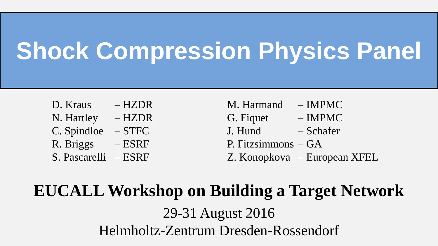# **Shock Compression Physics Panel**

- 
- 
- 
- 
- 
- D. Kraus HZDR M. Harmand IMPMC N. Hartley – HZDR G. Figuet – IMPMC C. Spindloe – STFC J. Hund – Schafer R. Briggs  $-ESRF$  P. Fitzsimmons  $- GA$ S. Pascarelli – ESRF Z. Konopkova – European XFEL

#### **EUCALL Workshop on Building a Target Network**

29-31 August 2016 Helmholtz-Zentrum Dresden-Rossendorf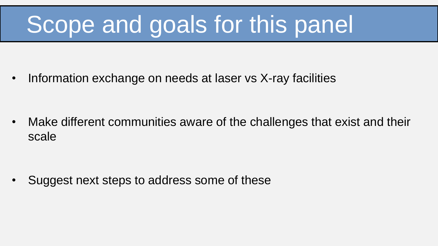# Scope and goals for this panel

• Information exchange on needs at laser vs X-ray facilities

• Make different communities aware of the challenges that exist and their scale

• Suggest next steps to address some of these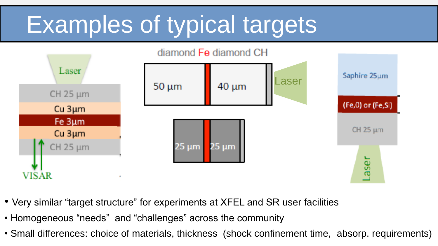# Examples of typical targets



- Very similar "target structure" for experiments at XFEL and SR user facilities
- Homogeneous "needs" and "challenges" across the community
- Small differences: choice of materials, thickness (shock confinement time, absorp. requirements)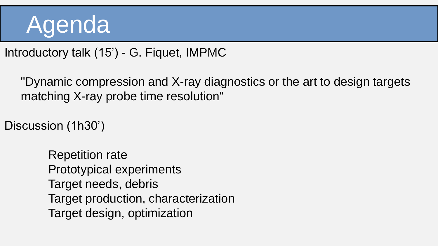## Agenda

Introductory talk (15') - G. Fiquet, IMPMC

"Dynamic compression and X-ray diagnostics or the art to design targets matching X-ray probe time resolution"

Discussion (1h30')

Repetition rate Prototypical experiments Target needs, debris Target production, characterization Target design, optimization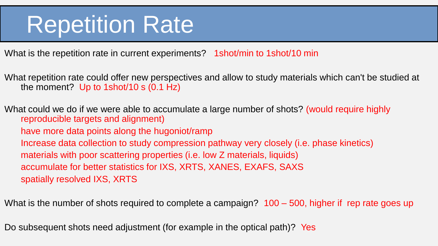### **Repetition Rate**

What is the repetition rate in current experiments? 1shot/min to 1shot/10 min

What repetition rate could offer new perspectives and allow to study materials which can't be studied at the moment? Up to 1shot/10 s (0.1 Hz)

What could we do if we were able to accumulate a large number of shots? (would require highly reproducible targets and alignment) have more data points along the hugoniot/ramp Increase data collection to study compression pathway very closely (i.e. phase kinetics) materials with poor scattering properties (i.e. low Z materials, liquids) accumulate for better statistics for IXS, XRTS, XANES, EXAFS, SAXS spatially resolved IXS, XRTS

What is the number of shots required to complete a campaign? 100 – 500, higher if rep rate goes up

Do subsequent shots need adjustment (for example in the optical path)? Yes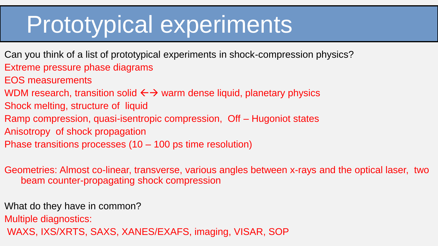### Prototypical experiments

- Can you think of a list of prototypical experiments in shock-compression physics? Extreme pressure phase diagrams
- EOS measurements
- WDM research, transition solid  $\leftrightarrow$  warm dense liquid, planetary physics
- Shock melting, structure of liquid
- Ramp compression, quasi-isentropic compression, Off Hugoniot states
- Anisotropy of shock propagation
- Phase transitions processes (10 100 ps time resolution)

Geometries: Almost co-linear, transverse, various angles between x-rays and the optical laser, two beam counter-propagating shock compression

What do they have in common?

Multiple diagnostics:

WAXS, IXS/XRTS, SAXS, XANES/EXAFS, imaging, VISAR, SOP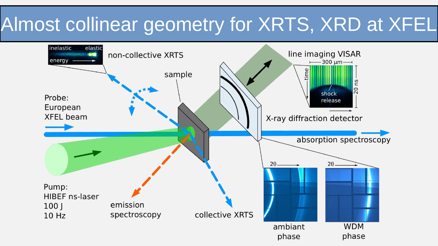### Almost collinear geometry for XRTS, XRD at XFEL

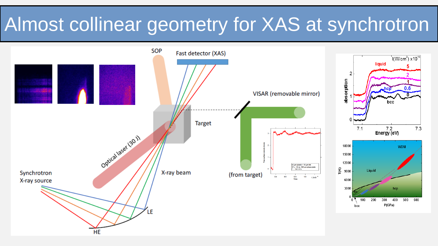#### Almost collinear geometry for XAS at synchrotron

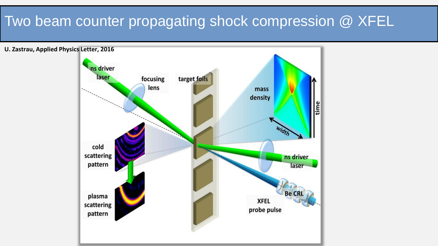#### Two beam counter propagating shock compression @ XFEL

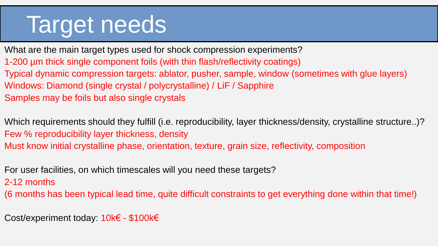## Target needs

What are the main target types used for shock compression experiments? 1-200 µm thick single component foils (with thin flash/reflectivity coatings) Typical dynamic compression targets: ablator, pusher, sample, window (sometimes with glue layers) Windows: Diamond (single crystal / polycrystalline) / LiF / Sapphire Samples may be foils but also single crystals

Which requirements should they fulfill (i.e. reproducibility, layer thickness/density, crystalline structure..)? Few % reproducibility layer thickness, density Must know initial crystalline phase, orientation, texture, grain size, reflectivity, composition

For user facilities, on which timescales will you need these targets?

2-12 months

(6 months has been typical lead time, quite difficult constraints to get everything done within that time!)

Cost/experiment today: 10k€ - \$100k€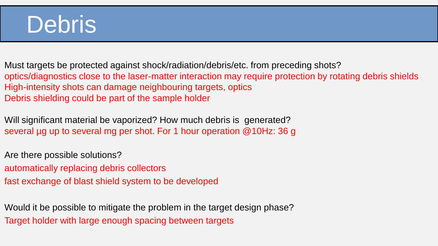### **Debris**

Must targets be protected against shock/radiation/debris/etc. from preceding shots? optics/diagnostics close to the laser-matter interaction may require protection by rotating debris shields High-intensity shots can damage neighbouring targets, optics Debris shielding could be part of the sample holder

Will significant material be vaporized? How much debris is generated? several µg up to several mg per shot. For 1 hour operation @10Hz: 36 g

Are there possible solutions? automatically replacing debris collectors

fast exchange of blast shield system to be developed

Would it be possible to mitigate the problem in the target design phase? Target holder with large enough spacing between targets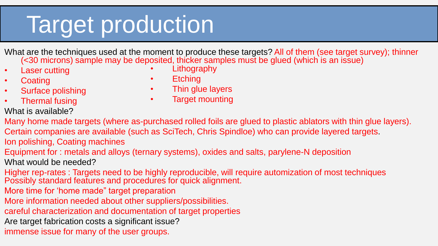# Target production

What are the techniques used at the moment to produce these targets? All of them (see target survey); thinner (<30 microns) sample may be deposited, thicker samples must be glued (which is an issue)

- **Laser cutting**
- **Coating**
- Surface polishing
- Thermal fusing
- What is available?
- **Lithography**
- **Etching**
- Thin glue layers
- Target mounting
- Many home made targets (where as-purchased rolled foils are glued to plastic ablators with thin glue layers). Certain companies are available (such as SciTech, Chris Spindloe) who can provide layered targets. Ion polishing, Coating machines Equipment for : metals and alloys (ternary systems), oxides and salts, parylene-N deposition What would be needed? Higher rep-rates : Targets need to be highly reproducible, will require automization of most techniques Possibly standard features and procedures for quick alignment. More time for 'home made" target preparation
- More information needed about other suppliers/possibilities.
- careful characterization and documentation of target properties
- Are target fabrication costs a significant issue?
- immense issue for many of the user groups.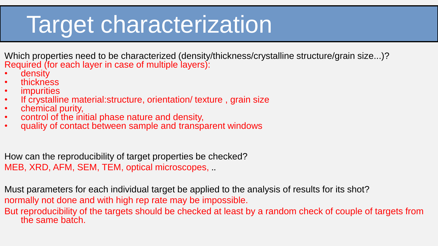## Target characterization

Which properties need to be characterized (density/thickness/crystalline structure/grain size...)? Required (for each layer in case of multiple layers):

- density
- thickness
- **impurities**
- If crystalline material:structure, orientation/ texture , grain size
- chemical purity,
- control of the initial phase nature and density,
- quality of contact between sample and transparent windows

How can the reproducibility of target properties be checked? MEB, XRD, AFM, SEM, TEM, optical microscopes, ..

Must parameters for each individual target be applied to the analysis of results for its shot? normally not done and with high rep rate may be impossible.

But reproducibility of the targets should be checked at least by a random check of couple of targets from the same batch.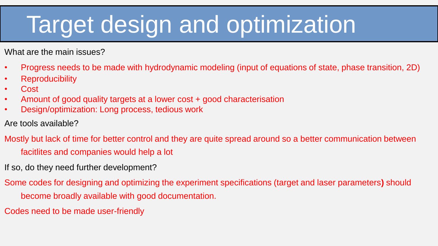# Target design and optimization

What are the main issues?

- Progress needs to be made with hydrodynamic modeling (input of equations of state, phase transition, 2D)
- Reproducibility
- Cost
- Amount of good quality targets at a lower cost + good characterisation
- Design/optimization: Long process, tedious work
- Are tools available?
- Mostly but lack of time for better control and they are quite spread around so a better communication between facitlites and companies would help a lot
- If so, do they need further development?
- Some codes for designing and optimizing the experiment specifications (target and laser parameters**)** should become broadly available with good documentation.
- Codes need to be made user-friendly